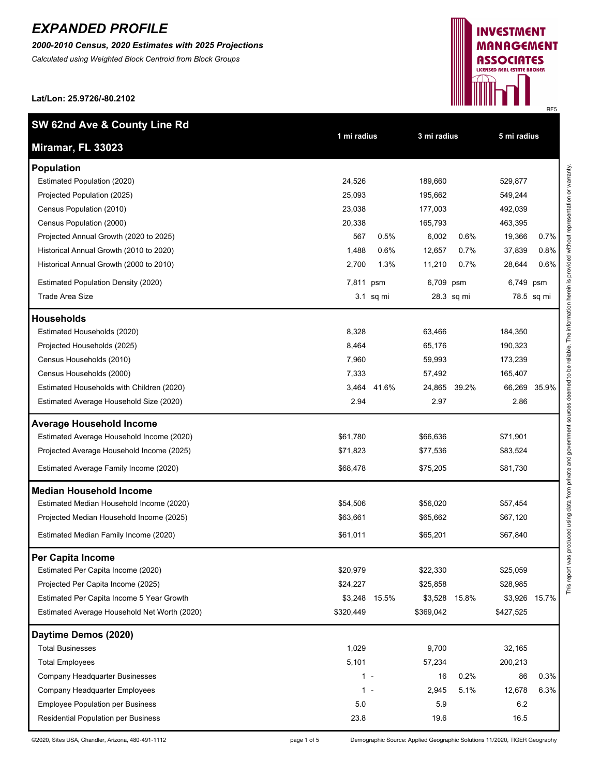*2000-2010 Census, 2020 Estimates with 2025 Projections*

*Calculated using Weighted Block Centroid from Block Groups*



**Lat/Lon: 25.9726/-80.2102**

| SW 62nd Ave & County Line Rd                 |             |             |             |              |             |              |
|----------------------------------------------|-------------|-------------|-------------|--------------|-------------|--------------|
| Miramar, FL 33023                            | 1 mi radius |             | 3 mi radius |              | 5 mi radius |              |
| <b>Population</b>                            |             |             |             |              |             |              |
| Estimated Population (2020)                  | 24,526      |             | 189,660     |              | 529,877     |              |
| Projected Population (2025)                  | 25,093      |             | 195,662     |              | 549,244     |              |
| Census Population (2010)                     | 23,038      |             | 177,003     |              | 492,039     |              |
| Census Population (2000)                     | 20,338      |             | 165,793     |              | 463,395     |              |
| Projected Annual Growth (2020 to 2025)       | 567         | 0.5%        | 6,002       | 0.6%         | 19,366      | 0.7%         |
| Historical Annual Growth (2010 to 2020)      | 1,488       | 0.6%        | 12,657      | 0.7%         | 37,839      | 0.8%         |
| Historical Annual Growth (2000 to 2010)      | 2,700       | 1.3%        | 11,210      | 0.7%         | 28,644      | 0.6%         |
| <b>Estimated Population Density (2020)</b>   | 7,811 psm   |             | 6,709 psm   |              | 6,749 psm   |              |
| Trade Area Size                              |             | 3.1 sq mi   |             | 28.3 sq mi   |             | 78.5 sq mi   |
| <b>Households</b>                            |             |             |             |              |             |              |
| Estimated Households (2020)                  | 8,328       |             | 63,466      |              | 184,350     |              |
| Projected Households (2025)                  | 8,464       |             | 65,176      |              | 190,323     |              |
| Census Households (2010)                     | 7,960       |             | 59,993      |              | 173,239     |              |
| Census Households (2000)                     | 7,333       |             | 57,492      |              | 165,407     |              |
| Estimated Households with Children (2020)    |             | 3,464 41.6% |             | 24,865 39.2% |             | 66,269 35.9% |
| Estimated Average Household Size (2020)      | 2.94        |             | 2.97        |              | 2.86        |              |
| <b>Average Household Income</b>              |             |             |             |              |             |              |
| Estimated Average Household Income (2020)    | \$61,780    |             | \$66,636    |              | \$71,901    |              |
| Projected Average Household Income (2025)    | \$71,823    |             | \$77,536    |              | \$83,524    |              |
| Estimated Average Family Income (2020)       | \$68,478    |             | \$75,205    |              | \$81,730    |              |
| <b>Median Household Income</b>               |             |             |             |              |             |              |
| Estimated Median Household Income (2020)     | \$54,506    |             | \$56,020    |              | \$57,454    |              |
| Projected Median Household Income (2025)     | \$63,661    |             | \$65,662    |              | \$67,120    |              |
| Estimated Median Family Income (2020)        | \$61,011    |             | \$65,201    |              | \$67,840    |              |
| Per Capita Income                            |             |             |             |              |             |              |
| Estimated Per Capita Income (2020)           | \$20,979    |             | \$22,330    |              | \$25,059    |              |
| Projected Per Capita Income (2025)           | \$24,227    |             | \$25,858    |              | \$28,985    |              |
| Estimated Per Capita Income 5 Year Growth    | \$3,248     | 15.5%       | \$3,528     | 15.8%        | \$3,926     | 15.7%        |
| Estimated Average Household Net Worth (2020) | \$320,449   |             | \$369,042   |              | \$427,525   |              |
| Daytime Demos (2020)                         |             |             |             |              |             |              |
| <b>Total Businesses</b>                      | 1,029       |             | 9,700       |              | 32,165      |              |
| <b>Total Employees</b>                       | 5,101       |             | 57,234      |              | 200,213     |              |
| Company Headquarter Businesses               | $1 -$       |             | 16          | 0.2%         | 86          | 0.3%         |
| Company Headquarter Employees                | 1 -         |             | 2,945       | 5.1%         | 12,678      | 6.3%         |
| <b>Employee Population per Business</b>      | 5.0         |             | 5.9         |              | 6.2         |              |
| Residential Population per Business          | 23.8        |             | 19.6        |              | 16.5        |              |

©2020, Sites USA, Chandler, Arizona, 480-491-1112 page 1 of 5 Demographic Source: Applied Geographic Solutions 11/2020, TIGER Geography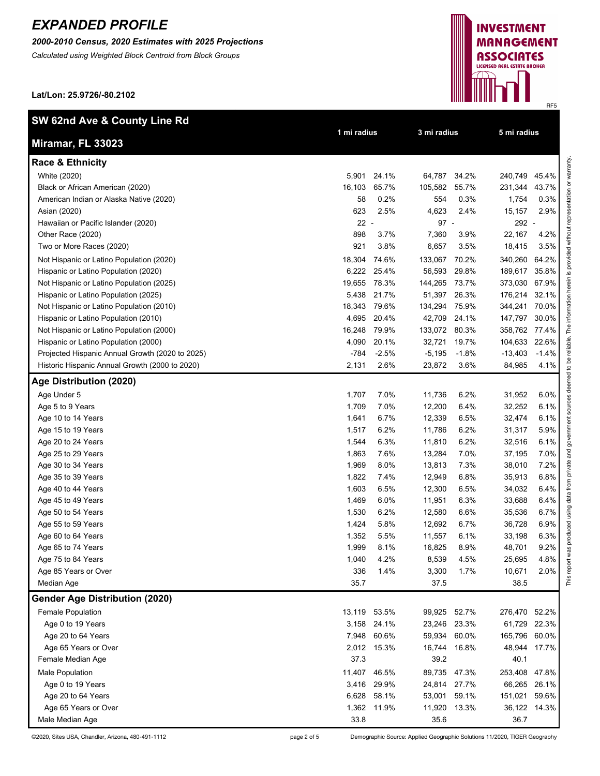*2000-2010 Census, 2020 Estimates with 2025 Projections*

*Calculated using Weighted Block Centroid from Block Groups*

**Lat/Lon: 25.9726/-80.2102**



varranty

**INVESTMENT MANAGEMENT** ASSOCIATES LICENSED REAL ESTATE BROKER

©2020, Sites USA, Chandler, Arizona, 480-491-1112 page 2 of 5 Demographic Source: Applied Geographic Solutions 11/2020, TIGER Geography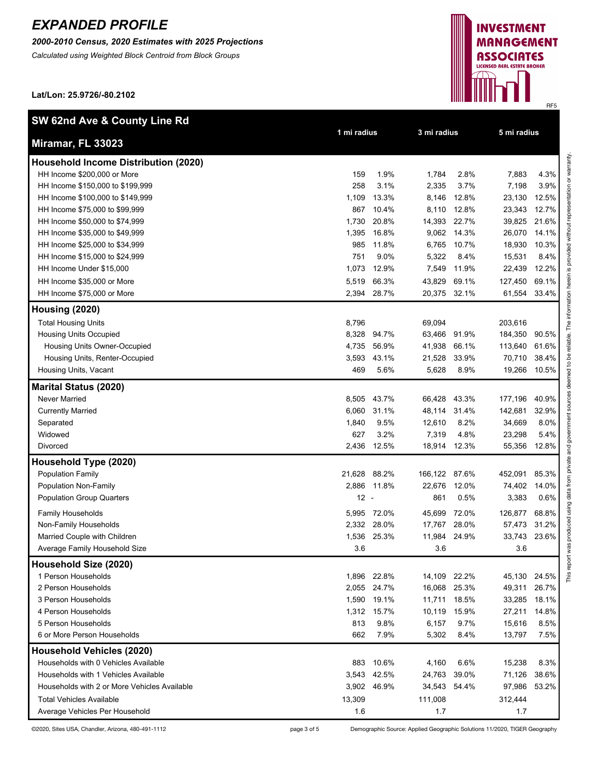**SW 62nd Ave & County Line Rd**

*2000-2010 Census, 2020 Estimates with 2025 Projections*

*Calculated using Weighted Block Centroid from Block Groups*

**Lat/Lon: 25.9726/-80.2102**



**1 mi radius 3 mi radius 5 mi radius**

| i<br>ç<br>ć                                                                                  |
|----------------------------------------------------------------------------------------------|
|                                                                                              |
|                                                                                              |
|                                                                                              |
| ì<br>I<br>֚֬֕                                                                                |
| ֚֬֕                                                                                          |
|                                                                                              |
|                                                                                              |
|                                                                                              |
| ١                                                                                            |
| ì                                                                                            |
| 1                                                                                            |
| į                                                                                            |
| į                                                                                            |
| j                                                                                            |
| ≘                                                                                            |
| h                                                                                            |
|                                                                                              |
|                                                                                              |
| 1                                                                                            |
|                                                                                              |
| ֪ׅ֪ׅ֪ׅ֖֧֪ׅ֖֧ׅ֪֪ׅ֖֧ׅ֧֧ׅ֪֪֧֪֪ׅ֧֪ׅ֧֪ׅ֧֛֚֚֚֚֚֚֚֚֚֚֚֚֚֚֚֚֚֚֚֚֚֚֚֚֚֡֝֝֝֝֝֝֝֝֝֝֝֝֝֬֝֝֝֝֝֝֬֝֝֝֝<br>į |
| å                                                                                            |
| Ì                                                                                            |
| ׇ֘֝֬֓֕<br>į                                                                                  |
|                                                                                              |
| ļ<br>1<br>j                                                                                  |
| l<br>j<br>j                                                                                  |
|                                                                                              |
| ī                                                                                            |
| i                                                                                            |
| I<br>i                                                                                       |
|                                                                                              |
| ř                                                                                            |
| I<br>j                                                                                       |
|                                                                                              |
| D                                                                                            |
| ī                                                                                            |
|                                                                                              |
| ₹                                                                                            |
| ī                                                                                            |
| ś                                                                                            |
|                                                                                              |
| ╘                                                                                            |
| Ĕ                                                                                            |
|                                                                                              |
| i                                                                                            |
| ì                                                                                            |
| Ξ<br>֠                                                                                       |
|                                                                                              |
| ī<br>í<br>֚֚֡֕                                                                               |
|                                                                                              |
|                                                                                              |
| ֺ֝֬                                                                                          |
| ć<br>ì                                                                                       |
| ֠                                                                                            |
| j<br>Į<br>é                                                                                  |
|                                                                                              |
| "<br>≡                                                                                       |
|                                                                                              |

| Miramar, FL 33023                    |
|--------------------------------------|
| Household Income Distribution (2020) |
| HH Income \$200,000 or More          |

| HH Income \$200,000 or More                  | 159          | 1.9%        | 1,784         | 2.8%  | 7,883        | 4.3%  |
|----------------------------------------------|--------------|-------------|---------------|-------|--------------|-------|
| HH Income \$150,000 to \$199,999             | 258          | 3.1%        | 2,335         | 3.7%  | 7,198        | 3.9%  |
| HH Income \$100,000 to \$149,999             | 1,109        | 13.3%       | 8,146         | 12.8% | 23,130       | 12.5% |
| HH Income \$75,000 to \$99,999               | 867          | 10.4%       | 8,110         | 12.8% | 23,343       | 12.7% |
| HH Income \$50,000 to \$74,999               | 1,730        | 20.8%       | 14,393 22.7%  |       | 39,825       | 21.6% |
| HH Income \$35,000 to \$49,999               | 1,395        | 16.8%       | 9,062         | 14.3% | 26,070       | 14.1% |
| HH Income \$25,000 to \$34,999               | 985          | 11.8%       | 6,765         | 10.7% | 18,930       | 10.3% |
| HH Income \$15,000 to \$24,999               | 751          | 9.0%        | 5,322         | 8.4%  | 15,531       | 8.4%  |
| HH Income Under \$15,000                     | 1,073        | 12.9%       | 7,549         | 11.9% | 22,439       | 12.2% |
| HH Income \$35,000 or More                   | 5,519        | 66.3%       | 43,829        | 69.1% | 127,450      | 69.1% |
| HH Income \$75,000 or More                   | 2,394        | 28.7%       | 20,375 32.1%  |       | 61,554       | 33.4% |
| Housing (2020)                               |              |             |               |       |              |       |
| <b>Total Housing Units</b>                   | 8,796        |             | 69,094        |       | 203,616      |       |
| <b>Housing Units Occupied</b>                | 8,328        | 94.7%       | 63,466        | 91.9% | 184,350      | 90.5% |
| Housing Units Owner-Occupied                 | 4,735        | 56.9%       | 41,938        | 66.1% | 113,640      | 61.6% |
| Housing Units, Renter-Occupied               | 3,593        | 43.1%       | 21,528        | 33.9% | 70,710       | 38.4% |
| Housing Units, Vacant                        | 469          | 5.6%        | 5,628         | 8.9%  | 19,266 10.5% |       |
| <b>Marital Status (2020)</b>                 |              |             |               |       |              |       |
| Never Married                                | 8,505        | 43.7%       | 66,428        | 43.3% | 177,196      | 40.9% |
| <b>Currently Married</b>                     | 6,060        | 31.1%       | 48,114        | 31.4% | 142,681      | 32.9% |
| Separated                                    | 1,840        | 9.5%        | 12,610        | 8.2%  | 34,669       | 8.0%  |
| Widowed                                      | 627          | 3.2%        | 7,319         | 4.8%  | 23,298       | 5.4%  |
| Divorced                                     | 2,436        | 12.5%       | 18,914        | 12.3% | 55,356       | 12.8% |
| Household Type (2020)                        |              |             |               |       |              |       |
| <b>Population Family</b>                     | 21,628 88.2% |             | 166,122 87.6% |       | 452,091      | 85.3% |
| Population Non-Family                        |              | 2,886 11.8% | 22,676        | 12.0% | 74,402       | 14.0% |
| <b>Population Group Quarters</b>             | $12 -$       |             | 861           | 0.5%  | 3,383        | 0.6%  |
| <b>Family Households</b>                     |              | 5,995 72.0% | 45,699        | 72.0% | 126,877      | 68.8% |
| Non-Family Households                        |              | 2,332 28.0% | 17,767        | 28.0% | 57,473       | 31.2% |
| Married Couple with Children                 | 1,536        | 25.3%       | 11,984        | 24.9% | 33,743       | 23.6% |
| Average Family Household Size                | 3.6          |             | 3.6           |       | 3.6          |       |
| Household Size (2020)                        |              |             |               |       |              |       |
| 1 Person Households                          | 1,896        | 22.8%       | 14,109        | 22.2% | 45,130       | 24.5% |
| 2 Person Households                          |              | 2,055 24.7% | 16,068        | 25.3% | 49,311       | 26.7% |
| 3 Person Households                          |              | 1,590 19.1% | 11,711 18.5%  |       | 33,285 18.1% |       |
| 4 Person Households                          |              | 1,312 15.7% | 10,119 15.9%  |       | 27,211 14.8% |       |
| 5 Person Households                          | 813          | 9.8%        | 6,157         | 9.7%  | 15,616       | 8.5%  |
| 6 or More Person Households                  | 662          | 7.9%        | 5,302         | 8.4%  | 13,797       | 7.5%  |
| <b>Household Vehicles (2020)</b>             |              |             |               |       |              |       |
| Households with 0 Vehicles Available         | 883          | 10.6%       | 4,160         | 6.6%  | 15,238       | 8.3%  |
| Households with 1 Vehicles Available         |              | 3,543 42.5% | 24,763        | 39.0% | 71,126       | 38.6% |
| Households with 2 or More Vehicles Available |              | 3,902 46.9% | 34,543 54.4%  |       | 97,986       | 53.2% |
| <b>Total Vehicles Available</b>              | 13,309       |             | 111,008       |       | 312,444      |       |
| Average Vehicles Per Household               | 1.6          |             | 1.7           |       | 1.7          |       |
|                                              |              |             |               |       |              |       |

©2020, Sites USA, Chandler, Arizona, 480-491-1112 page 3 of 5 Demographic Source: Applied Geographic Solutions 11/2020, TIGER Geography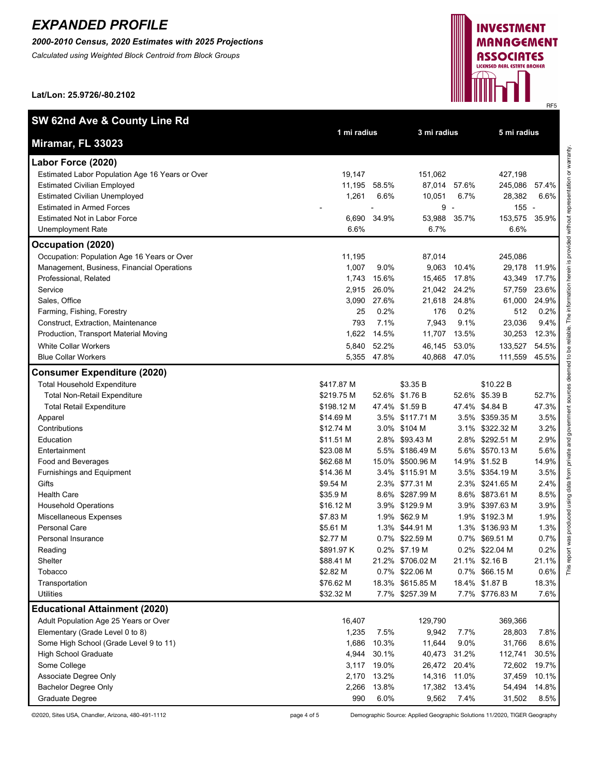*2000-2010 Census, 2020 Estimates with 2025 Projections*

*Calculated using Weighted Block Centroid from Block Groups*

**Lat/Lon: 25.9726/-80.2102**

| SW 62nd Ave & County Line Rd                    |             |             |                  |                |                 |       |
|-------------------------------------------------|-------------|-------------|------------------|----------------|-----------------|-------|
| Miramar, FL 33023                               | 1 mi radius |             | 3 mi radius      |                | 5 mi radius     |       |
| Labor Force (2020)                              |             |             |                  |                |                 |       |
| Estimated Labor Population Age 16 Years or Over | 19,147      |             | 151,062          |                | 427,198         |       |
| <b>Estimated Civilian Employed</b>              | 11,195      | 58.5%       | 87,014           | 57.6%          | 245,086         | 57.4% |
| <b>Estimated Civilian Unemployed</b>            | 1,261       | 6.6%        | 10,051           | 6.7%           | 28,382          | 6.6%  |
| <b>Estimated in Armed Forces</b>                |             |             | 9                | $\overline{a}$ | $155 -$         |       |
| <b>Estimated Not in Labor Force</b>             | 6,690       | 34.9%       | 53,988           | 35.7%          | 153,575         | 35.9% |
| <b>Unemployment Rate</b>                        | 6.6%        |             | 6.7%             |                | 6.6%            |       |
| Occupation (2020)                               |             |             |                  |                |                 |       |
| Occupation: Population Age 16 Years or Over     | 11,195      |             | 87,014           |                | 245,086         |       |
| Management, Business, Financial Operations      | 1,007       | 9.0%        | 9,063            | 10.4%          | 29,178          | 11.9% |
| Professional, Related                           | 1,743       | 15.6%       | 15,465           | 17.8%          | 43,349          | 17.7% |
| Service                                         | 2,915       | 26.0%       | 21,042           | 24.2%          | 57,759          | 23.6% |
| Sales, Office                                   | 3,090       | 27.6%       | 21,618           | 24.8%          | 61,000          | 24.9% |
| Farming, Fishing, Forestry                      | 25          | 0.2%        | 176              | 0.2%           | 512             | 0.2%  |
| Construct, Extraction, Maintenance              | 793         | 7.1%        | 7,943            | 9.1%           | 23,036          | 9.4%  |
| Production, Transport Material Moving           | 1,622       | 14.5%       | 11,707           | 13.5%          | 30,253          | 12.3% |
| <b>White Collar Workers</b>                     | 5,840       | 52.2%       | 46,145           | 53.0%          | 133,527         | 54.5% |
| <b>Blue Collar Workers</b>                      | 5,355       | 47.8%       | 40,868 47.0%     |                | 111,559         | 45.5% |
| <b>Consumer Expenditure (2020)</b>              |             |             |                  |                |                 |       |
| <b>Total Household Expenditure</b>              | \$417.87 M  |             | \$3.35 B         |                | \$10.22 B       |       |
| <b>Total Non-Retail Expenditure</b>             | \$219.75 M  |             | 52.6% \$1.76 B   |                | 52.6% \$5.39 B  | 52.7% |
| <b>Total Retail Expenditure</b>                 | \$198.12 M  |             | 47.4% \$1.59 B   |                | 47.4% \$4.84 B  | 47.3% |
| Apparel                                         | \$14.69 M   |             | 3.5% \$117.71 M  |                | 3.5% \$359.35 M | 3.5%  |
| Contributions                                   | \$12.74 M   |             | 3.0% \$104 M     |                | 3.1% \$322.32 M | 3.2%  |
| Education                                       | \$11.51 M   |             | 2.8% \$93.43 M   |                | 2.8% \$292.51 M | 2.9%  |
| Entertainment                                   | \$23.08 M   |             | 5.5% \$186.49 M  |                | 5.6% \$570.13 M | 5.6%  |
| Food and Beverages                              | \$62.68 M   |             | 15.0% \$500.96 M |                | 14.9% \$1.52 B  | 14.9% |
| Furnishings and Equipment                       | \$14.36 M   |             | 3.4% \$115.91 M  |                | 3.5% \$354.19 M | 3.5%  |
| Gifts                                           | \$9.54 M    |             | 2.3% \$77.31 M   |                | 2.3% \$241.65 M | 2.4%  |
| <b>Health Care</b>                              | \$35.9 M    |             | 8.6% \$287.99 M  |                | 8.6% \$873.61 M | 8.5%  |
| <b>Household Operations</b>                     | \$16.12 M   |             | 3.9% \$129.9 M   |                | 3.9% \$397.63 M | 3.9%  |
| <b>Miscellaneous Expenses</b>                   | \$7.83 M    |             | 1.9% \$62.9 M    |                | 1.9% \$192.3 M  | 1.9%  |
| <b>Personal Care</b>                            | \$5.61 M    |             | 1.3% \$44.91 M   |                | 1.3% \$136.93 M | 1.3%  |
| Personal Insurance                              | \$2.77 M    |             | 0.7% \$22.59 M   |                | 0.7% \$69.51 M  | 0.7%  |
| Reading                                         | \$891.97 K  |             | 0.2% \$7.19 M    |                | 0.2% \$22.04 M  | 0.2%  |
| Shelter                                         | \$88.41 M   |             | 21.2% \$706.02 M |                | 21.1% \$2.16 B  | 21.1% |
| Tobacco                                         | \$2.82 M    |             | 0.7% \$22.06 M   |                | 0.7% \$66.15 M  | 0.6%  |
| Transportation                                  | \$76.62 M   |             | 18.3% \$615.85 M |                | 18.4% \$1.87 B  | 18.3% |
| <b>Utilities</b>                                | \$32.32 M   |             | 7.7% \$257.39 M  |                | 7.7% \$776.83 M | 7.6%  |
| <b>Educational Attainment (2020)</b>            |             |             |                  |                |                 |       |
| Adult Population Age 25 Years or Over           | 16,407      |             | 129,790          |                | 369,366         |       |
| Elementary (Grade Level 0 to 8)                 | 1,235       | 7.5%        | 9,942            | 7.7%           | 28,803          | 7.8%  |
| Some High School (Grade Level 9 to 11)          | 1,686       | 10.3%       | 11,644           | 9.0%           | 31,766          | 8.6%  |
| <b>High School Graduate</b>                     | 4,944       | 30.1%       | 40,473           | 31.2%          | 112,741         | 30.5% |
| Some College                                    |             | 3,117 19.0% | 26,472           | 20.4%          | 72,602          | 19.7% |
| Associate Degree Only                           | 2,170       | 13.2%       | 14,316           | 11.0%          | 37,459          | 10.1% |
| <b>Bachelor Degree Only</b>                     | 2,266       | 13.8%       | 17,382           | 13.4%          | 54,494          | 14.8% |
| <b>Graduate Degree</b>                          | 990         | 6.0%        | 9,562            | 7.4%           | 31,502          | 8.5%  |

©2020, Sites USA, Chandler, Arizona, 480-491-1112 page 4 of 5 Demographic Source: Applied Geographic Solutions 11/2020, TIGER Geography